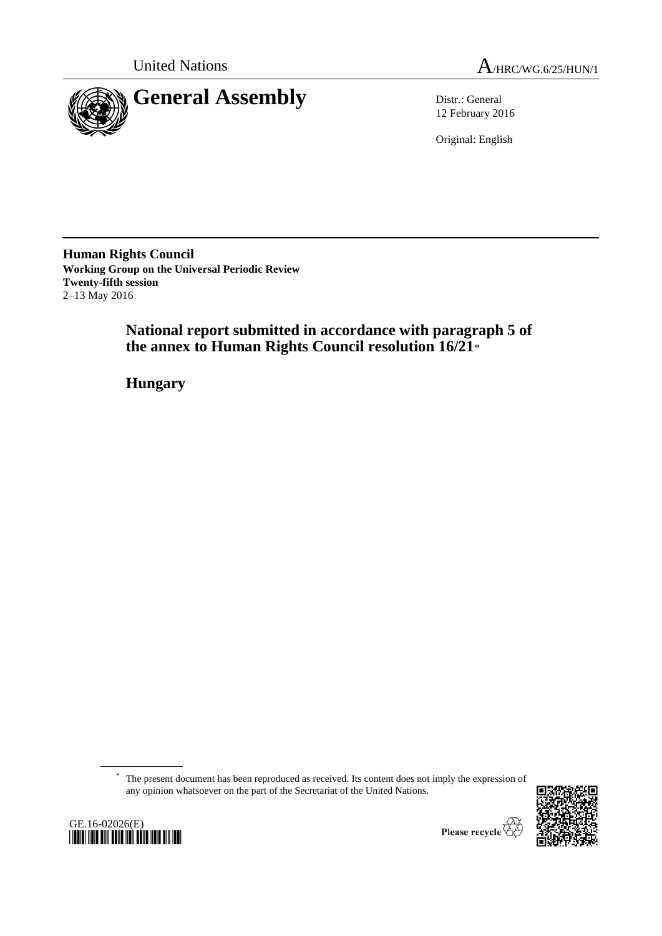



12 February 2016

Original: English

**Human Rights Council Working Group on the Universal Periodic Review Twenty-fifth session** 2–13 May 2016

> **National report submitted in accordance with paragraph 5 of the annex to Human Rights Council resolution 16/21**\*

**Hungary**

\* The present document has been reproduced as received. Its content does not imply the expression of any opinion whatsoever on the part of the Secretariat of the United Nations.





Please recycle  $\check{\mathfrak{C}}$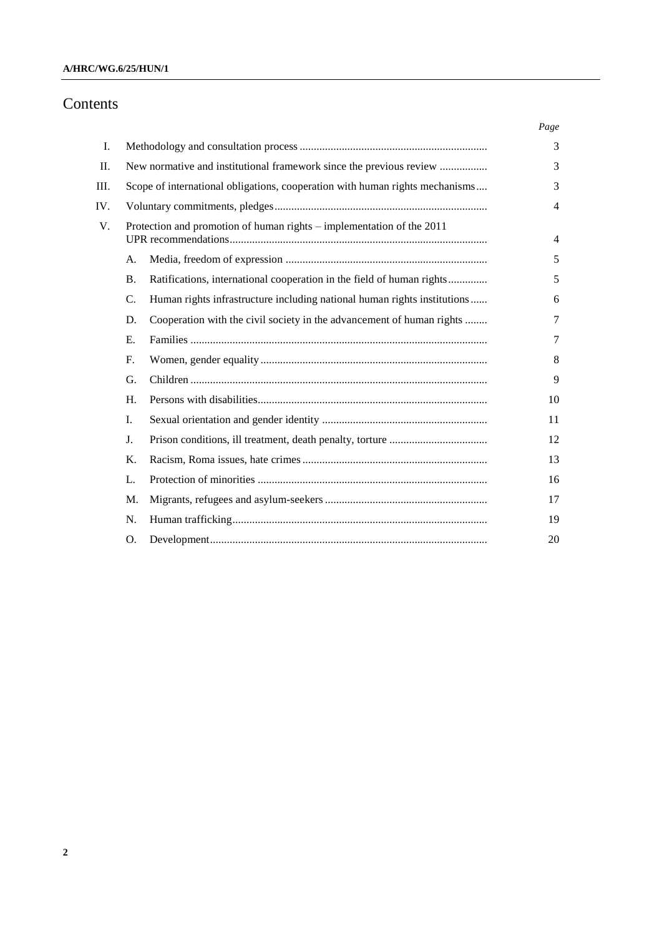# Contents

|     |                                                                       |                                                                              | Page |
|-----|-----------------------------------------------------------------------|------------------------------------------------------------------------------|------|
| Ι.  |                                                                       |                                                                              |      |
| П.  |                                                                       | New normative and institutional framework since the previous review          |      |
| Ш.  |                                                                       | Scope of international obligations, cooperation with human rights mechanisms |      |
| IV. |                                                                       |                                                                              |      |
| V.  | Protection and promotion of human rights - implementation of the 2011 |                                                                              | 4    |
|     | A.                                                                    |                                                                              | 5    |
|     | <b>B.</b>                                                             | Ratifications, international cooperation in the field of human rights        | 5    |
|     | C.                                                                    | Human rights infrastructure including national human rights institutions     | 6    |
|     | D.                                                                    | Cooperation with the civil society in the advancement of human rights        | 7    |
|     | E.                                                                    |                                                                              | 7    |
|     | $F_{\cdot}$                                                           |                                                                              | 8    |
|     | G.                                                                    |                                                                              | 9    |
|     | H.                                                                    |                                                                              | 10   |
|     | I.                                                                    |                                                                              | 11   |
|     | J.                                                                    |                                                                              | 12   |
|     | Κ.                                                                    |                                                                              | 13   |
|     | L.                                                                    |                                                                              | 16   |
|     | M.                                                                    |                                                                              | 17   |
|     | N.                                                                    |                                                                              | 19   |
|     | O.                                                                    |                                                                              | 20   |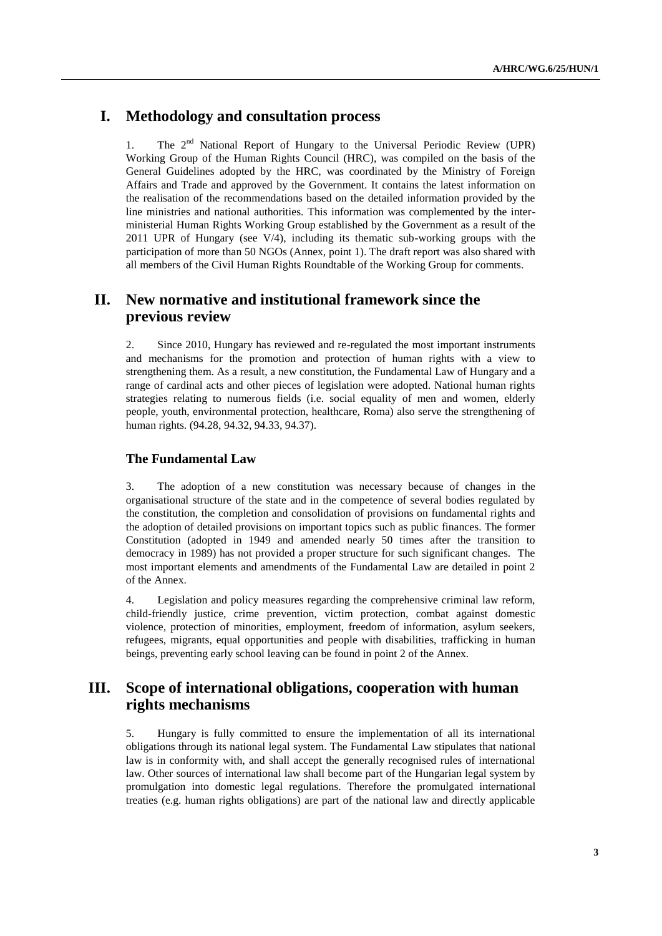## **I. Methodology and consultation process**

1. The  $2^{nd}$  National Report of Hungary to the Universal Periodic Review (UPR) Working Group of the Human Rights Council (HRC), was compiled on the basis of the General Guidelines adopted by the HRC, was coordinated by the Ministry of Foreign Affairs and Trade and approved by the Government. It contains the latest information on the realisation of the recommendations based on the detailed information provided by the line ministries and national authorities. This information was complemented by the interministerial Human Rights Working Group established by the Government as a result of the 2011 UPR of Hungary (see V/4), including its thematic sub-working groups with the participation of more than 50 NGOs (Annex, point 1). The draft report was also shared with all members of the Civil Human Rights Roundtable of the Working Group for comments.

## **II. New normative and institutional framework since the previous review**

2. Since 2010, Hungary has reviewed and re-regulated the most important instruments and mechanisms for the promotion and protection of human rights with a view to strengthening them. As a result, a new constitution, the Fundamental Law of Hungary and a range of cardinal acts and other pieces of legislation were adopted. National human rights strategies relating to numerous fields (i.e. social equality of men and women, elderly people, youth, environmental protection, healthcare, Roma) also serve the strengthening of human rights. (94.28, 94.32, 94.33, 94.37).

#### **The Fundamental Law**

3. The adoption of a new constitution was necessary because of changes in the organisational structure of the state and in the competence of several bodies regulated by the constitution, the completion and consolidation of provisions on fundamental rights and the adoption of detailed provisions on important topics such as public finances. The former Constitution (adopted in 1949 and amended nearly 50 times after the transition to democracy in 1989) has not provided a proper structure for such significant changes. The most important elements and amendments of the Fundamental Law are detailed in point 2 of the Annex.

4. Legislation and policy measures regarding the comprehensive criminal law reform, child-friendly justice, crime prevention, victim protection, combat against domestic violence, protection of minorities, employment, freedom of information, asylum seekers, refugees, migrants, equal opportunities and people with disabilities, trafficking in human beings, preventing early school leaving can be found in point 2 of the Annex.

## **III. Scope of international obligations, cooperation with human rights mechanisms**

5. Hungary is fully committed to ensure the implementation of all its international obligations through its national legal system. The Fundamental Law stipulates that national law is in conformity with, and shall accept the generally recognised rules of international law. Other sources of international law shall become part of the Hungarian legal system by promulgation into domestic legal regulations. Therefore the promulgated international treaties (e.g. human rights obligations) are part of the national law and directly applicable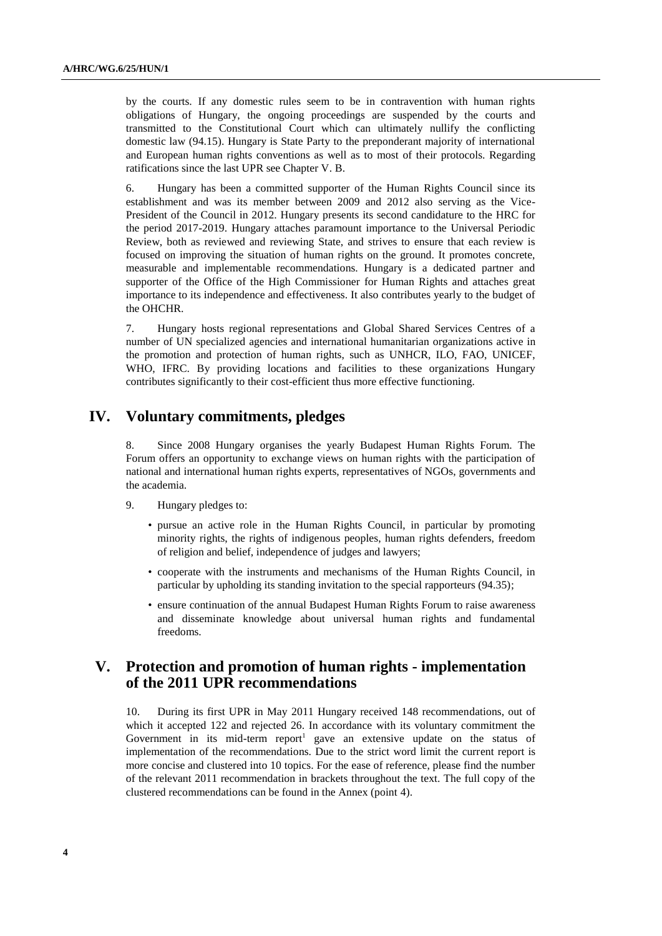by the courts. If any domestic rules seem to be in contravention with human rights obligations of Hungary, the ongoing proceedings are suspended by the courts and transmitted to the Constitutional Court which can ultimately nullify the conflicting domestic law (94.15). Hungary is State Party to the preponderant majority of international and European human rights conventions as well as to most of their protocols. Regarding ratifications since the last UPR see Chapter V. B.

6. Hungary has been a committed supporter of the Human Rights Council since its establishment and was its member between 2009 and 2012 also serving as the Vice-President of the Council in 2012. Hungary presents its second candidature to the HRC for the period 2017-2019. Hungary attaches paramount importance to the Universal Periodic Review, both as reviewed and reviewing State, and strives to ensure that each review is focused on improving the situation of human rights on the ground. It promotes concrete, measurable and implementable recommendations. Hungary is a dedicated partner and supporter of the Office of the High Commissioner for Human Rights and attaches great importance to its independence and effectiveness. It also contributes yearly to the budget of the OHCHR.

7. Hungary hosts regional representations and Global Shared Services Centres of a number of UN specialized agencies and international humanitarian organizations active in the promotion and protection of human rights, such as UNHCR, ILO, FAO, UNICEF, WHO, IFRC. By providing locations and facilities to these organizations Hungary contributes significantly to their cost-efficient thus more effective functioning.

## **IV. Voluntary commitments, pledges**

8. Since 2008 Hungary organises the yearly Budapest Human Rights Forum. The Forum offers an opportunity to exchange views on human rights with the participation of national and international human rights experts, representatives of NGOs, governments and the academia.

- 9. Hungary pledges to:
	- pursue an active role in the Human Rights Council, in particular by promoting minority rights, the rights of indigenous peoples, human rights defenders, freedom of religion and belief, independence of judges and lawyers;
	- cooperate with the instruments and mechanisms of the Human Rights Council, in particular by upholding its standing invitation to the special rapporteurs (94.35);
	- ensure continuation of the annual Budapest Human Rights Forum to raise awareness and disseminate knowledge about universal human rights and fundamental freedoms.

## **V. Protection and promotion of human rights - implementation of the 2011 UPR recommendations**

10. During its first UPR in May 2011 Hungary received 148 recommendations, out of which it accepted 122 and rejected 26. In accordance with its voluntary commitment the Government in its mid-term report<sup>1</sup> gave an extensive update on the status of implementation of the recommendations. Due to the strict word limit the current report is more concise and clustered into 10 topics. For the ease of reference, please find the number of the relevant 2011 recommendation in brackets throughout the text. The full copy of the clustered recommendations can be found in the Annex (point 4).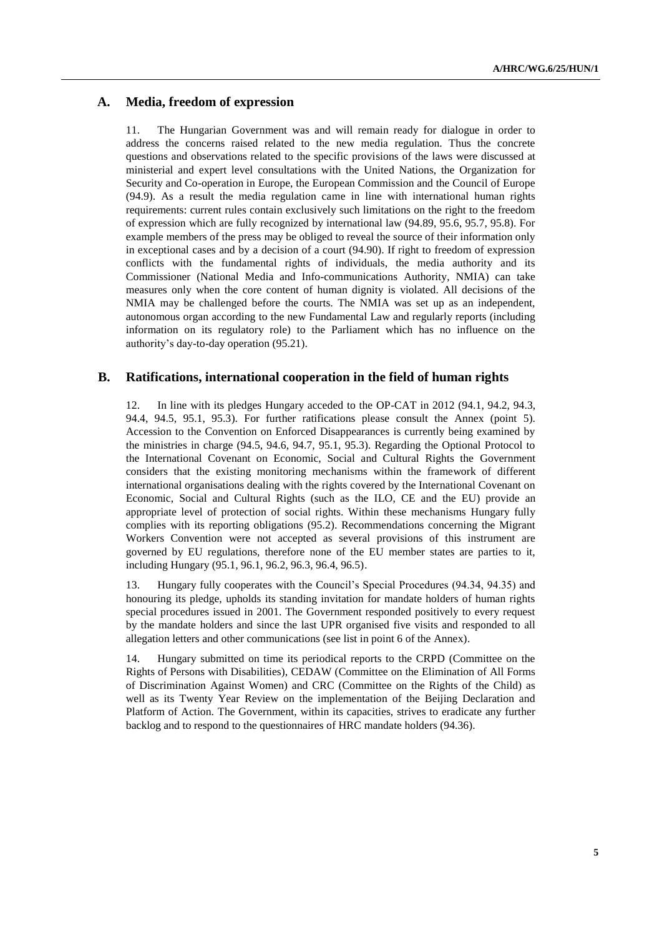## **A. Media, freedom of expression**

11. The Hungarian Government was and will remain ready for dialogue in order to address the concerns raised related to the new media regulation. Thus the concrete questions and observations related to the specific provisions of the laws were discussed at ministerial and expert level consultations with the United Nations, the Organization for Security and Co-operation in Europe, the European Commission and the Council of Europe (94.9). As a result the media regulation came in line with international human rights requirements: current rules contain exclusively such limitations on the right to the freedom of expression which are fully recognized by international law (94.89, 95.6, 95.7, 95.8). For example members of the press may be obliged to reveal the source of their information only in exceptional cases and by a decision of a court (94.90). If right to freedom of expression conflicts with the fundamental rights of individuals, the media authority and its Commissioner (National Media and Info-communications Authority, NMIA) can take measures only when the core content of human dignity is violated. All decisions of the NMIA may be challenged before the courts. The NMIA was set up as an independent, autonomous organ according to the new Fundamental Law and regularly reports (including information on its regulatory role) to the Parliament which has no influence on the authority's day-to-day operation (95.21).

### **B. Ratifications, international cooperation in the field of human rights**

12. In line with its pledges Hungary acceded to the OP-CAT in 2012 (94.1, 94.2, 94.3, 94.4, 94.5, 95.1, 95.3). For further ratifications please consult the Annex (point 5). Accession to the Convention on Enforced Disappearances is currently being examined by the ministries in charge (94.5, 94.6, 94.7, 95.1, 95.3). Regarding the Optional Protocol to the International Covenant on Economic, Social and Cultural Rights the Government considers that the existing monitoring mechanisms within the framework of different international organisations dealing with the rights covered by the International Covenant on Economic, Social and Cultural Rights (such as the ILO, CE and the EU) provide an appropriate level of protection of social rights. Within these mechanisms Hungary fully complies with its reporting obligations (95.2). Recommendations concerning the Migrant Workers Convention were not accepted as several provisions of this instrument are governed by EU regulations, therefore none of the EU member states are parties to it, including Hungary (95.1, 96.1, 96.2, 96.3, 96.4, 96.5).

13. Hungary fully cooperates with the Council's Special Procedures (94.34, 94.35) and honouring its pledge, upholds its standing invitation for mandate holders of human rights special procedures issued in 2001. The Government responded positively to every request by the mandate holders and since the last UPR organised five visits and responded to all allegation letters and other communications (see list in point 6 of the Annex).

14. Hungary submitted on time its periodical reports to the CRPD (Committee on the Rights of Persons with Disabilities), CEDAW (Committee on the Elimination of All Forms of Discrimination Against Women) and CRC (Committee on the Rights of the Child) as well as its Twenty Year Review on the implementation of the Beijing Declaration and Platform of Action. The Government, within its capacities, strives to eradicate any further backlog and to respond to the questionnaires of HRC mandate holders (94.36).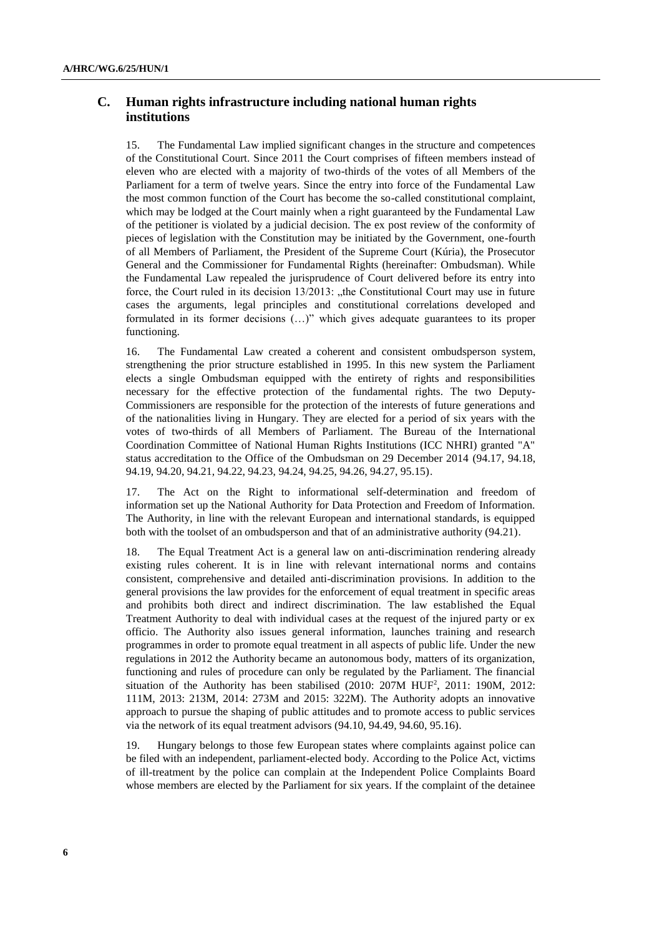## **C. Human rights infrastructure including national human rights institutions**

15. The Fundamental Law implied significant changes in the structure and competences of the Constitutional Court. Since 2011 the Court comprises of fifteen members instead of eleven who are elected with a majority of two-thirds of the votes of all Members of the Parliament for a term of twelve years. Since the entry into force of the Fundamental Law the most common function of the Court has become the so-called constitutional complaint, which may be lodged at the Court mainly when a right guaranteed by the Fundamental Law of the petitioner is violated by a judicial decision. The ex post review of the conformity of pieces of legislation with the Constitution may be initiated by the Government, one-fourth of all Members of Parliament, the President of the Supreme Court (Kúria), the Prosecutor General and the Commissioner for Fundamental Rights (hereinafter: Ombudsman). While the Fundamental Law repealed the jurisprudence of Court delivered before its entry into force, the Court ruled in its decision  $13/2013$ : "the Constitutional Court may use in future cases the arguments, legal principles and constitutional correlations developed and formulated in its former decisions (…)" which gives adequate guarantees to its proper functioning.

16. The Fundamental Law created a coherent and consistent ombudsperson system, strengthening the prior structure established in 1995. In this new system the Parliament elects a single Ombudsman equipped with the entirety of rights and responsibilities necessary for the effective protection of the fundamental rights. The two Deputy-Commissioners are responsible for the protection of the interests of future generations and of the nationalities living in Hungary. They are elected for a period of six years with the votes of two-thirds of all Members of Parliament. The Bureau of the International Coordination Committee of National Human Rights Institutions (ICC NHRI) granted "A" status accreditation to the Office of the Ombudsman on 29 December 2014 (94.17, 94.18, 94.19, 94.20, 94.21, 94.22, 94.23, 94.24, 94.25, 94.26, 94.27, 95.15).

17. The Act on the Right to informational self-determination and freedom of information set up the National Authority for Data Protection and Freedom of Information. The Authority, in line with the relevant European and international standards, is equipped both with the toolset of an ombudsperson and that of an administrative authority (94.21).

18. The Equal Treatment Act is a general law on anti-discrimination rendering already existing rules coherent. It is in line with relevant international norms and contains consistent, comprehensive and detailed anti-discrimination provisions. In addition to the general provisions the law provides for the enforcement of equal treatment in specific areas and prohibits both direct and indirect discrimination. The law established the Equal Treatment Authority to deal with individual cases at the request of the injured party or ex officio. The Authority also issues general information, launches training and research programmes in order to promote equal treatment in all aspects of public life. Under the new regulations in 2012 the Authority became an autonomous body, matters of its organization, functioning and rules of procedure can only be regulated by the Parliament. The financial situation of the Authority has been stabilised  $(2010: 207M HUF<sup>2</sup>, 2011: 190M, 2012:$ 111M, 2013: 213M, 2014: 273M and 2015: 322M). The Authority adopts an innovative approach to pursue the shaping of public attitudes and to promote access to public services via the network of its equal treatment advisors (94.10, 94.49, 94.60, 95.16).

19. Hungary belongs to those few European states where complaints against police can be filed with an independent, parliament-elected body. According to the Police Act, victims of ill-treatment by the police can complain at the Independent Police Complaints Board whose members are elected by the Parliament for six years. If the complaint of the detainee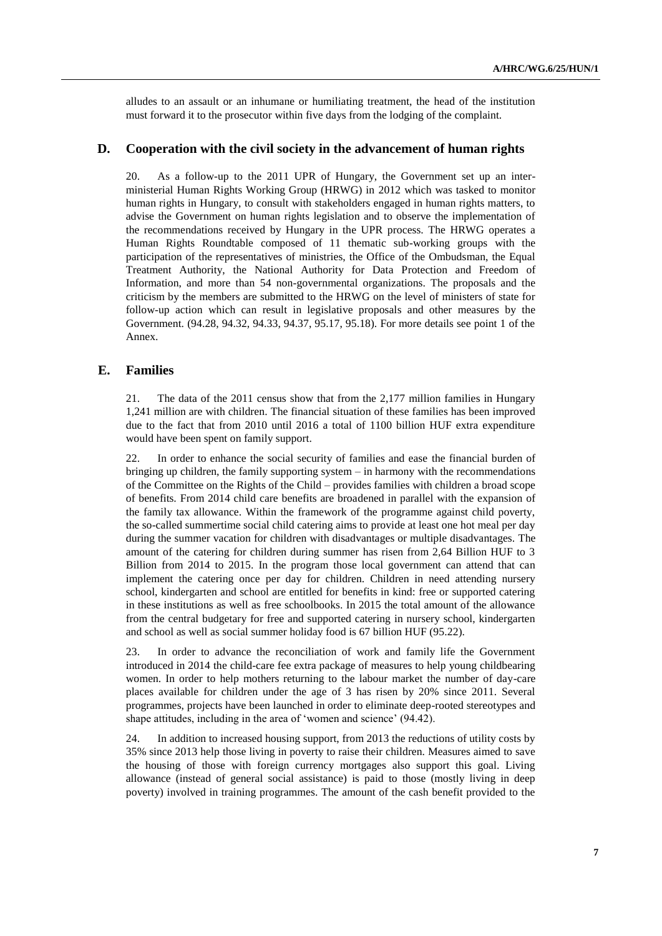alludes to an assault or an inhumane or humiliating treatment, the head of the institution must forward it to the prosecutor within five days from the lodging of the complaint.

#### **D. Cooperation with the civil society in the advancement of human rights**

20. As a follow-up to the 2011 UPR of Hungary, the Government set up an interministerial Human Rights Working Group (HRWG) in 2012 which was tasked to monitor human rights in Hungary, to consult with stakeholders engaged in human rights matters, to advise the Government on human rights legislation and to observe the implementation of the recommendations received by Hungary in the UPR process. The HRWG operates a Human Rights Roundtable composed of 11 thematic sub-working groups with the participation of the representatives of ministries, the Office of the Ombudsman, the Equal Treatment Authority, the National Authority for Data Protection and Freedom of Information, and more than 54 non-governmental organizations. The proposals and the criticism by the members are submitted to the HRWG on the level of ministers of state for follow-up action which can result in legislative proposals and other measures by the Government. (94.28, 94.32, 94.33, 94.37, 95.17, 95.18). For more details see point 1 of the Annex.

## **E. Families**

21. The data of the 2011 census show that from the 2,177 million families in Hungary 1,241 million are with children. The financial situation of these families has been improved due to the fact that from 2010 until 2016 a total of 1100 billion HUF extra expenditure would have been spent on family support.

22. In order to enhance the social security of families and ease the financial burden of bringing up children, the family supporting system – in harmony with the recommendations of the Committee on the Rights of the Child – provides families with children a broad scope of benefits. From 2014 child care benefits are broadened in parallel with the expansion of the family tax allowance. Within the framework of the programme against child poverty, the so-called summertime social child catering aims to provide at least one hot meal per day during the summer vacation for children with disadvantages or multiple disadvantages. The amount of the catering for children during summer has risen from 2,64 Billion HUF to 3 Billion from 2014 to 2015. In the program those local government can attend that can implement the catering once per day for children. Children in need attending nursery school, kindergarten and school are entitled for benefits in kind: free or supported catering in these institutions as well as free schoolbooks. In 2015 the total amount of the allowance from the central budgetary for free and supported catering in nursery school, kindergarten and school as well as social summer holiday food is 67 billion HUF (95.22).

23. In order to advance the reconciliation of work and family life the Government introduced in 2014 the child-care fee extra package of measures to help young childbearing women. In order to help mothers returning to the labour market the number of day-care places available for children under the age of 3 has risen by 20% since 2011. Several programmes, projects have been launched in order to eliminate deep-rooted stereotypes and shape attitudes, including in the area of 'women and science' (94.42).

24. In addition to increased housing support, from 2013 the reductions of utility costs by 35% since 2013 help those living in poverty to raise their children. Measures aimed to save the housing of those with foreign currency mortgages also support this goal. Living allowance (instead of general social assistance) is paid to those (mostly living in deep poverty) involved in training programmes. The amount of the cash benefit provided to the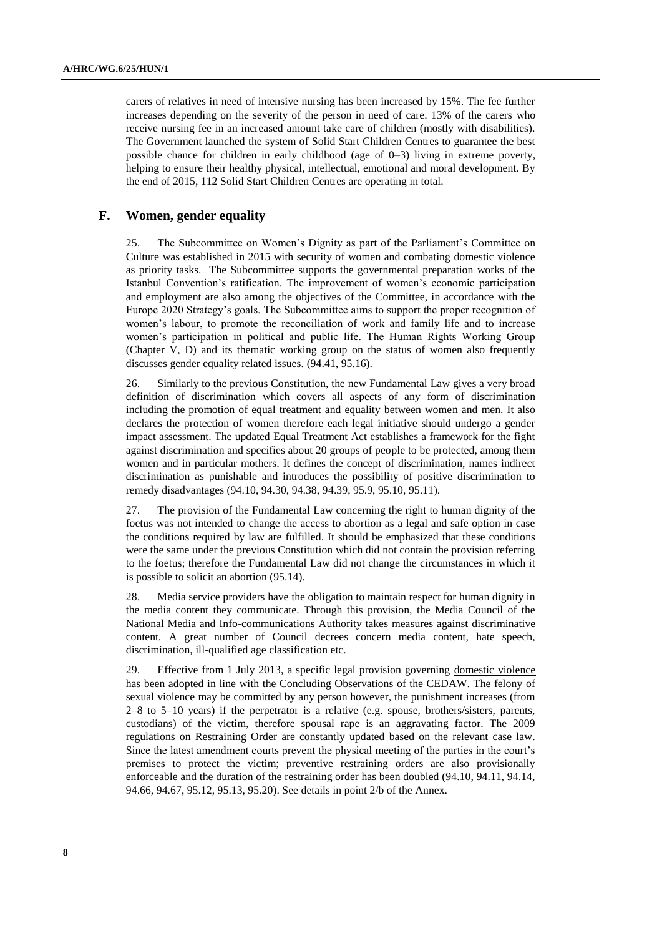carers of relatives in need of intensive nursing has been increased by 15%. The fee further increases depending on the severity of the person in need of care. 13% of the carers who receive nursing fee in an increased amount take care of children (mostly with disabilities). The Government launched the system of Solid Start Children Centres to guarantee the best possible chance for children in early childhood (age of 0–3) living in extreme poverty, helping to ensure their healthy physical, intellectual, emotional and moral development. By the end of 2015, 112 Solid Start Children Centres are operating in total.

### **F. Women, gender equality**

25. The Subcommittee on Women's Dignity as part of the Parliament's Committee on Culture was established in 2015 with security of women and combating domestic violence as priority tasks. The Subcommittee supports the governmental preparation works of the Istanbul Convention's ratification. The improvement of women's economic participation and employment are also among the objectives of the Committee, in accordance with the Europe 2020 Strategy's goals. The Subcommittee aims to support the proper recognition of women's labour, to promote the reconciliation of work and family life and to increase women's participation in political and public life. The Human Rights Working Group (Chapter V, D) and its thematic working group on the status of women also frequently discusses gender equality related issues. (94.41, 95.16).

26. Similarly to the previous Constitution, the new Fundamental Law gives a very broad definition of discrimination which covers all aspects of any form of discrimination including the promotion of equal treatment and equality between women and men. It also declares the protection of women therefore each legal initiative should undergo a gender impact assessment. The updated Equal Treatment Act establishes a framework for the fight against discrimination and specifies about 20 groups of people to be protected, among them women and in particular mothers. It defines the concept of discrimination, names indirect discrimination as punishable and introduces the possibility of positive discrimination to remedy disadvantages (94.10, 94.30, 94.38, 94.39, 95.9, 95.10, 95.11).

27. The provision of the Fundamental Law concerning the right to human dignity of the foetus was not intended to change the access to abortion as a legal and safe option in case the conditions required by law are fulfilled. It should be emphasized that these conditions were the same under the previous Constitution which did not contain the provision referring to the foetus; therefore the Fundamental Law did not change the circumstances in which it is possible to solicit an abortion (95.14).

28. Media service providers have the obligation to maintain respect for human dignity in the media content they communicate. Through this provision, the Media Council of the National Media and Info-communications Authority takes measures against discriminative content. A great number of Council decrees concern media content, hate speech, discrimination, ill-qualified age classification etc.

29. Effective from 1 July 2013, a specific legal provision governing domestic violence has been adopted in line with the Concluding Observations of the CEDAW. The felony of sexual violence may be committed by any person however, the punishment increases (from 2–8 to 5–10 years) if the perpetrator is a relative (e.g. spouse, brothers/sisters, parents, custodians) of the victim, therefore spousal rape is an aggravating factor. The 2009 regulations on Restraining Order are constantly updated based on the relevant case law. Since the latest amendment courts prevent the physical meeting of the parties in the court's premises to protect the victim; preventive restraining orders are also provisionally enforceable and the duration of the restraining order has been doubled (94.10, 94.11, 94.14, 94.66, 94.67, 95.12, 95.13, 95.20). See details in point 2/b of the Annex.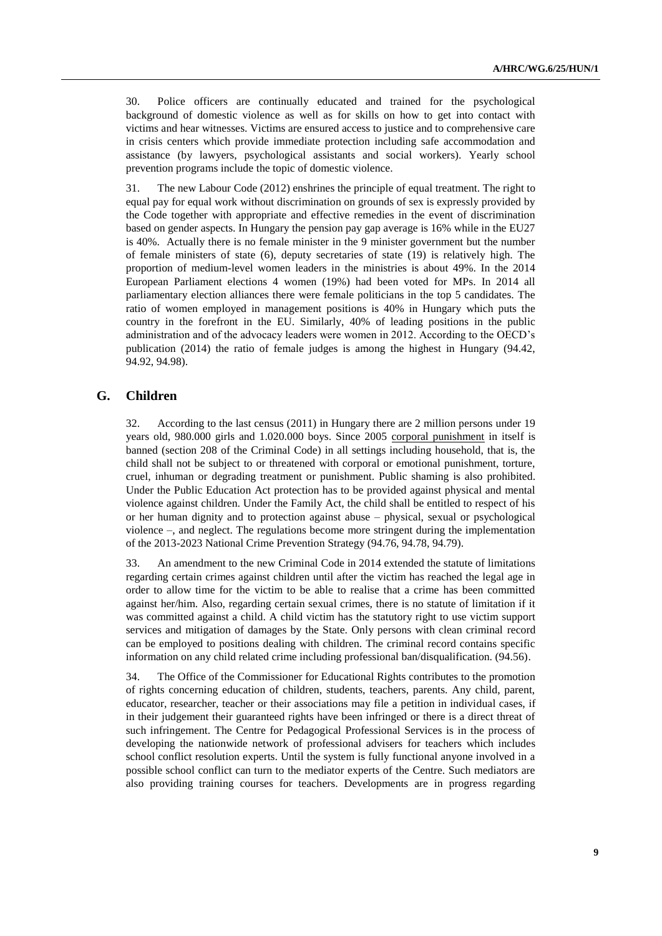30. Police officers are continually educated and trained for the psychological background of domestic violence as well as for skills on how to get into contact with victims and hear witnesses. Victims are ensured access to justice and to comprehensive care in crisis centers which provide immediate protection including safe accommodation and assistance (by lawyers, psychological assistants and social workers). Yearly school prevention programs include the topic of domestic violence.

31. The new Labour Code (2012) enshrines the principle of equal treatment. The right to equal pay for equal work without discrimination on grounds of sex is expressly provided by the Code together with appropriate and effective remedies in the event of discrimination based on gender aspects. In Hungary the pension pay gap average is 16% while in the EU27 is 40%. Actually there is no female minister in the 9 minister government but the number of female ministers of state (6), deputy secretaries of state (19) is relatively high. The proportion of medium-level women leaders in the ministries is about 49%. In the 2014 European Parliament elections 4 women (19%) had been voted for MPs. In 2014 all parliamentary election alliances there were female politicians in the top 5 candidates. The ratio of women employed in management positions is 40% in Hungary which puts the country in the forefront in the EU. Similarly, 40% of leading positions in the public administration and of the advocacy leaders were women in 2012. According to the OECD's publication (2014) the ratio of female judges is among the highest in Hungary (94.42, 94.92, 94.98).

### **G. Children**

32. According to the last census (2011) in Hungary there are 2 million persons under 19 years old, 980.000 girls and 1.020.000 boys. Since 2005 corporal punishment in itself is banned (section 208 of the Criminal Code) in all settings including household, that is, the child shall not be subject to or threatened with corporal or emotional punishment, torture, cruel, inhuman or degrading treatment or punishment. Public shaming is also prohibited. Under the Public Education Act protection has to be provided against physical and mental violence against children. Under the Family Act, the child shall be entitled to respect of his or her human dignity and to protection against abuse – physical, sexual or psychological violence –, and neglect. The regulations become more stringent during the implementation of the 2013-2023 National Crime Prevention Strategy (94.76, 94.78, 94.79).

33. An amendment to the new Criminal Code in 2014 extended the statute of limitations regarding certain crimes against children until after the victim has reached the legal age in order to allow time for the victim to be able to realise that a crime has been committed against her/him. Also, regarding certain sexual crimes, there is no statute of limitation if it was committed against a child. A child victim has the statutory right to use victim support services and mitigation of damages by the State. Only persons with clean criminal record can be employed to positions dealing with children. The criminal record contains specific information on any child related crime including professional ban/disqualification. (94.56).

34. The Office of the Commissioner for Educational Rights contributes to the promotion of rights concerning education of children, students, teachers, parents. Any child, parent, educator, researcher, teacher or their associations may file a petition in individual cases, if in their judgement their guaranteed rights have been infringed or there is a direct threat of such infringement. The Centre for Pedagogical Professional Services is in the process of developing the nationwide network of professional advisers for teachers which includes school conflict resolution experts. Until the system is fully functional anyone involved in a possible school conflict can turn to the mediator experts of the Centre. Such mediators are also providing training courses for teachers. Developments are in progress regarding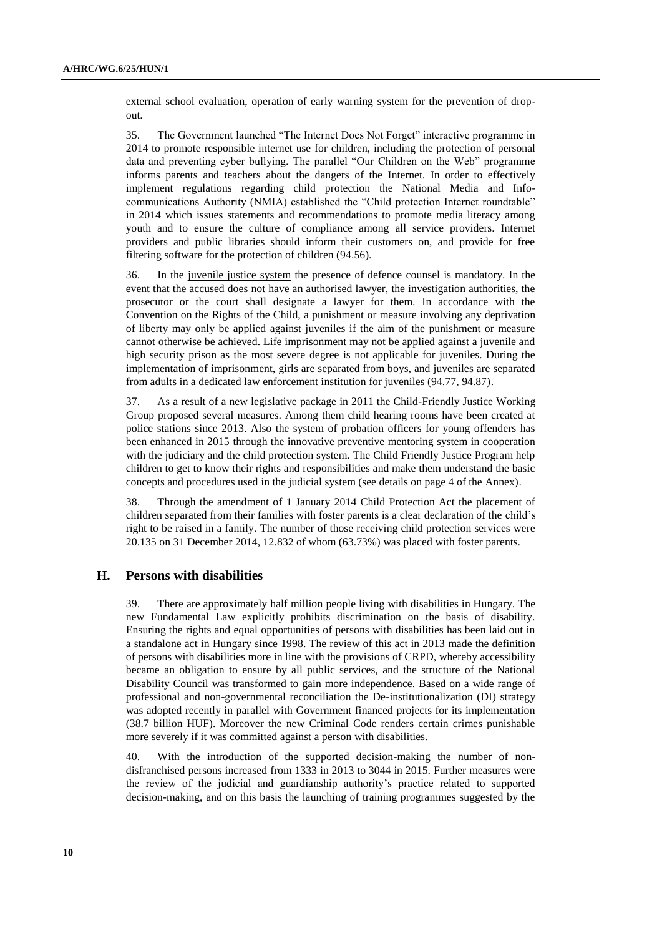external school evaluation, operation of early warning system for the prevention of dropout.

35. The Government launched "The Internet Does Not Forget" interactive programme in 2014 to promote responsible internet use for children, including the protection of personal data and preventing cyber bullying. The parallel "Our Children on the Web" programme informs parents and teachers about the dangers of the Internet. In order to effectively implement regulations regarding child protection the National Media and Infocommunications Authority (NMIA) established the "Child protection Internet roundtable" in 2014 which issues statements and recommendations to promote media literacy among youth and to ensure the culture of compliance among all service providers. Internet providers and public libraries should inform their customers on, and provide for free filtering software for the protection of children (94.56).

36. In the juvenile justice system the presence of defence counsel is mandatory. In the event that the accused does not have an authorised lawyer, the investigation authorities, the prosecutor or the court shall designate a lawyer for them. In accordance with the Convention on the Rights of the Child, a punishment or measure involving any deprivation of liberty may only be applied against juveniles if the aim of the punishment or measure cannot otherwise be achieved. Life imprisonment may not be applied against a juvenile and high security prison as the most severe degree is not applicable for juveniles. During the implementation of imprisonment, girls are separated from boys, and juveniles are separated from adults in a dedicated law enforcement institution for juveniles (94.77, 94.87).

37. As a result of a new legislative package in 2011 the Child-Friendly Justice Working Group proposed several measures. Among them child hearing rooms have been created at police stations since 2013. Also the system of probation officers for young offenders has been enhanced in 2015 through the innovative preventive mentoring system in cooperation with the judiciary and the child protection system. The Child Friendly Justice Program help children to get to know their rights and responsibilities and make them understand the basic concepts and procedures used in the judicial system (see details on page 4 of the Annex).

38. Through the amendment of 1 January 2014 Child Protection Act the placement of children separated from their families with foster parents is a clear declaration of the child's right to be raised in a family. The number of those receiving child protection services were 20.135 on 31 December 2014, 12.832 of whom (63.73%) was placed with foster parents.

#### **H. Persons with disabilities**

39. There are approximately half million people living with disabilities in Hungary. The new Fundamental Law explicitly prohibits discrimination on the basis of disability. Ensuring the rights and equal opportunities of persons with disabilities has been laid out in a standalone act in Hungary since 1998. The review of this act in 2013 made the definition of persons with disabilities more in line with the provisions of CRPD, whereby accessibility became an obligation to ensure by all public services, and the structure of the National Disability Council was transformed to gain more independence. Based on a wide range of professional and non-governmental reconciliation the De-institutionalization (DI) strategy was adopted recently in parallel with Government financed projects for its implementation (38.7 billion HUF). Moreover the new Criminal Code renders certain crimes punishable more severely if it was committed against a person with disabilities.

40. With the introduction of the supported decision-making the number of nondisfranchised persons increased from 1333 in 2013 to 3044 in 2015. Further measures were the review of the judicial and guardianship authority's practice related to supported decision-making, and on this basis the launching of training programmes suggested by the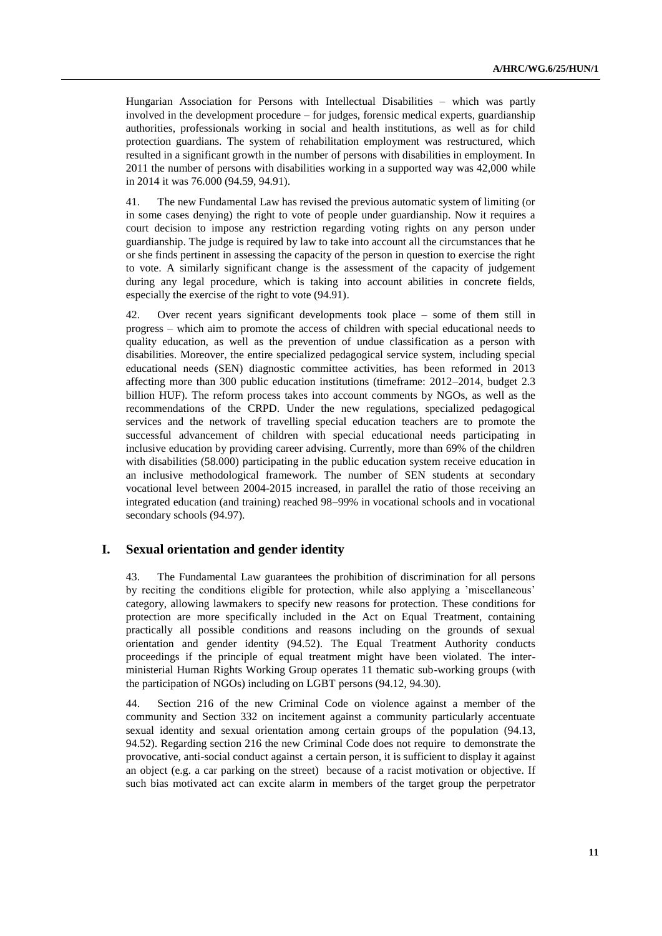Hungarian Association for Persons with Intellectual Disabilities – which was partly involved in the development procedure – for judges, forensic medical experts, guardianship authorities, professionals working in social and health institutions, as well as for child protection guardians. The system of rehabilitation employment was restructured, which resulted in a significant growth in the number of persons with disabilities in employment. In 2011 the number of persons with disabilities working in a supported way was 42,000 while in 2014 it was 76.000 (94.59, 94.91).

41. The new Fundamental Law has revised the previous automatic system of limiting (or in some cases denying) the right to vote of people under guardianship. Now it requires a court decision to impose any restriction regarding voting rights on any person under guardianship. The judge is required by law to take into account all the circumstances that he or she finds pertinent in assessing the capacity of the person in question to exercise the right to vote. A similarly significant change is the assessment of the capacity of judgement during any legal procedure, which is taking into account abilities in concrete fields, especially the exercise of the right to vote (94.91).

42. Over recent years significant developments took place – some of them still in progress – which aim to promote the access of children with special educational needs to quality education, as well as the prevention of undue classification as a person with disabilities. Moreover, the entire specialized pedagogical service system, including special educational needs (SEN) diagnostic committee activities, has been reformed in 2013 affecting more than 300 public education institutions (timeframe: 2012–2014, budget 2.3 billion HUF). The reform process takes into account comments by NGOs, as well as the recommendations of the CRPD. Under the new regulations, specialized pedagogical services and the network of travelling special education teachers are to promote the successful advancement of children with special educational needs participating in inclusive education by providing career advising. Currently, more than 69% of the children with disabilities (58.000) participating in the public education system receive education in an inclusive methodological framework. The number of SEN students at secondary vocational level between 2004-2015 increased, in parallel the ratio of those receiving an integrated education (and training) reached 98–99% in vocational schools and in vocational secondary schools (94.97).

#### **I. Sexual orientation and gender identity**

43. The Fundamental Law guarantees the prohibition of discrimination for all persons by reciting the conditions eligible for protection, while also applying a 'miscellaneous' category, allowing lawmakers to specify new reasons for protection. These conditions for protection are more specifically included in the Act on Equal Treatment, containing practically all possible conditions and reasons including on the grounds of sexual orientation and gender identity (94.52). The Equal Treatment Authority conducts proceedings if the principle of equal treatment might have been violated. The interministerial Human Rights Working Group operates 11 thematic sub-working groups (with the participation of NGOs) including on LGBT persons (94.12, 94.30).

44. Section 216 of the new Criminal Code on violence against a member of the community and Section 332 on incitement against a community particularly accentuate sexual identity and sexual orientation among certain groups of the population (94.13, 94.52). Regarding section 216 the new Criminal Code does not require to demonstrate the provocative, anti-social conduct against a certain person, it is sufficient to display it against an object (e.g. a car parking on the street) because of a racist motivation or objective. If such bias motivated act can excite alarm in members of the target group the perpetrator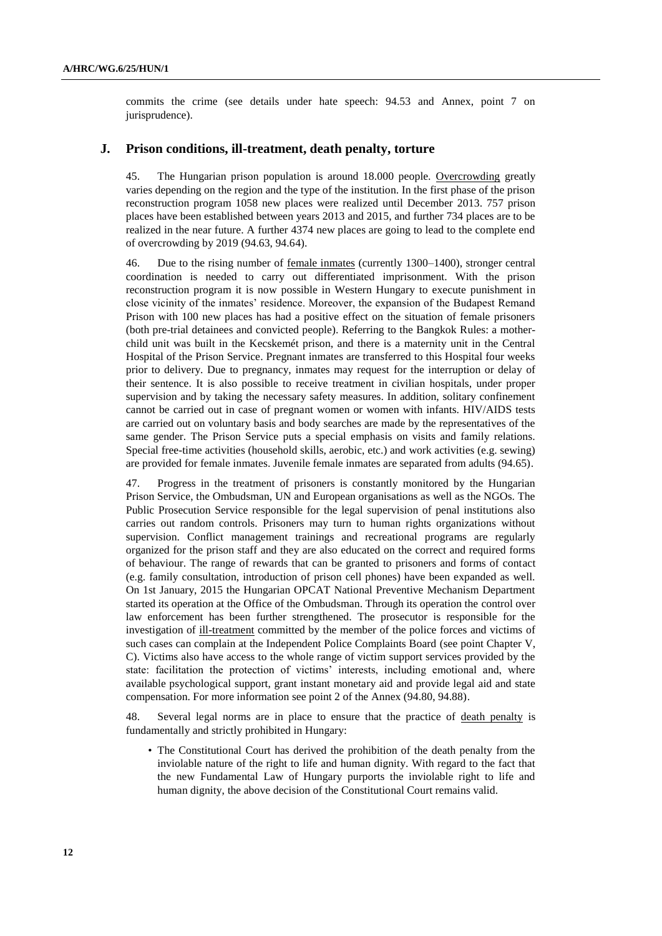commits the crime (see details under hate speech: 94.53 and Annex, point 7 on jurisprudence).

#### **J. Prison conditions, ill-treatment, death penalty, torture**

45. The Hungarian prison population is around 18.000 people. Overcrowding greatly varies depending on the region and the type of the institution. In the first phase of the prison reconstruction program 1058 new places were realized until December 2013. 757 prison places have been established between years 2013 and 2015, and further 734 places are to be realized in the near future. A further 4374 new places are going to lead to the complete end of overcrowding by 2019 (94.63, 94.64).

46. Due to the rising number of <u>female inmates</u> (currently 1300–1400), stronger central coordination is needed to carry out differentiated imprisonment. With the prison reconstruction program it is now possible in Western Hungary to execute punishment in close vicinity of the inmates' residence. Moreover, the expansion of the Budapest Remand Prison with 100 new places has had a positive effect on the situation of female prisoners (both pre-trial detainees and convicted people). Referring to the Bangkok Rules: a motherchild unit was built in the Kecskemét prison, and there is a maternity unit in the Central Hospital of the Prison Service. Pregnant inmates are transferred to this Hospital four weeks prior to delivery. Due to pregnancy, inmates may request for the interruption or delay of their sentence. It is also possible to receive treatment in civilian hospitals, under proper supervision and by taking the necessary safety measures. In addition, solitary confinement cannot be carried out in case of pregnant women or women with infants. HIV/AIDS tests are carried out on voluntary basis and body searches are made by the representatives of the same gender. The Prison Service puts a special emphasis on visits and family relations. Special free-time activities (household skills, aerobic, etc.) and work activities (e.g. sewing) are provided for female inmates. Juvenile female inmates are separated from adults (94.65).

47. Progress in the treatment of prisoners is constantly monitored by the Hungarian Prison Service, the Ombudsman, UN and European organisations as well as the NGOs. The Public Prosecution Service responsible for the legal supervision of penal institutions also carries out random controls. Prisoners may turn to human rights organizations without supervision. Conflict management trainings and recreational programs are regularly organized for the prison staff and they are also educated on the correct and required forms of behaviour. The range of rewards that can be granted to prisoners and forms of contact (e.g. family consultation, introduction of prison cell phones) have been expanded as well. On 1st January, 2015 the Hungarian OPCAT National Preventive Mechanism Department started its operation at the Office of the Ombudsman. Through its operation the control over law enforcement has been further strengthened. The prosecutor is responsible for the investigation of ill-treatment committed by the member of the police forces and victims of such cases can complain at the Independent Police Complaints Board (see point Chapter V, C). Victims also have access to the whole range of victim support services provided by the state: facilitation the protection of victims' interests, including emotional and, where available psychological support, grant instant monetary aid and provide legal aid and state compensation. For more information see point 2 of the Annex (94.80, 94.88).

48. Several legal norms are in place to ensure that the practice of death penalty is fundamentally and strictly prohibited in Hungary:

• The Constitutional Court has derived the prohibition of the death penalty from the inviolable nature of the right to life and human dignity. With regard to the fact that the new Fundamental Law of Hungary purports the inviolable right to life and human dignity, the above decision of the Constitutional Court remains valid.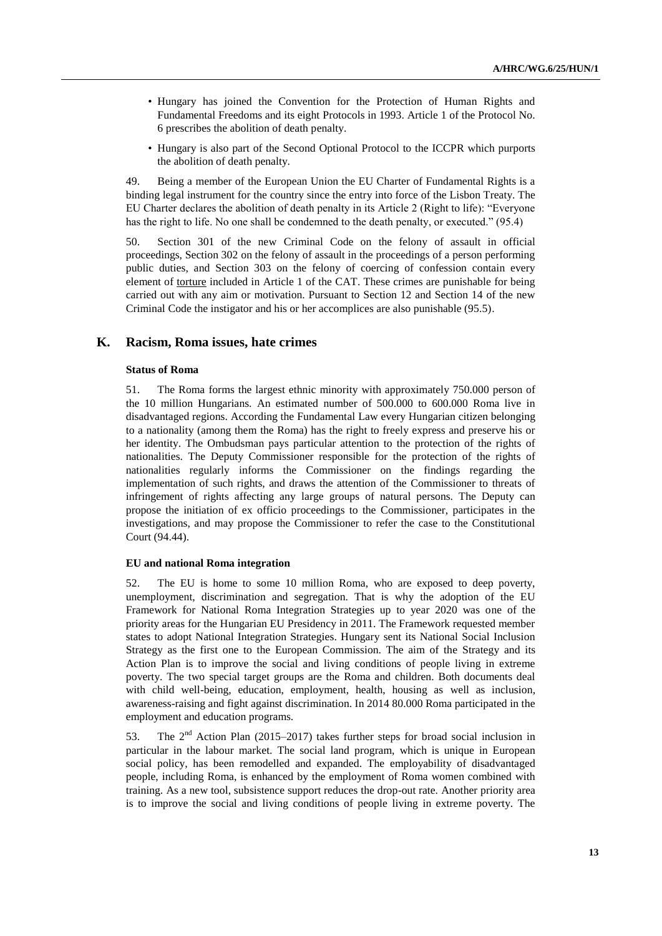- Hungary has joined the Convention for the Protection of Human Rights and Fundamental Freedoms and its eight Protocols in 1993. Article 1 of the Protocol No. 6 prescribes the abolition of death penalty.
- Hungary is also part of the Second Optional Protocol to the ICCPR which purports the abolition of death penalty.

49. Being a member of the European Union the EU Charter of Fundamental Rights is a binding legal instrument for the country since the entry into force of the Lisbon Treaty. The EU Charter declares the abolition of death penalty in its Article 2 (Right to life): "Everyone has the right to life. No one shall be condemned to the death penalty, or executed." (95.4)

50. Section 301 of the new Criminal Code on the felony of assault in official proceedings, Section 302 on the felony of assault in the proceedings of a person performing public duties, and Section 303 on the felony of coercing of confession contain every element of torture included in Article 1 of the CAT. These crimes are punishable for being carried out with any aim or motivation. Pursuant to Section 12 and Section 14 of the new Criminal Code the instigator and his or her accomplices are also punishable (95.5).

### **K. Racism, Roma issues, hate crimes**

#### **Status of Roma**

51. The Roma forms the largest ethnic minority with approximately 750.000 person of the 10 million Hungarians. An estimated number of 500.000 to 600.000 Roma live in disadvantaged regions. According the Fundamental Law every Hungarian citizen belonging to a nationality (among them the Roma) has the right to freely express and preserve his or her identity. The Ombudsman pays particular attention to the protection of the rights of nationalities. The Deputy Commissioner responsible for the protection of the rights of nationalities regularly informs the Commissioner on the findings regarding the implementation of such rights, and draws the attention of the Commissioner to threats of infringement of rights affecting any large groups of natural persons. The Deputy can propose the initiation of ex officio proceedings to the Commissioner, participates in the investigations, and may propose the Commissioner to refer the case to the Constitutional Court (94.44).

#### **EU and national Roma integration**

52. The EU is home to some 10 million Roma, who are exposed to deep poverty, unemployment, discrimination and segregation. That is why the adoption of the EU Framework for National Roma Integration Strategies up to year 2020 was one of the priority areas for the Hungarian EU Presidency in 2011. The Framework requested member states to adopt National Integration Strategies. Hungary sent its National Social Inclusion Strategy as the first one to the European Commission. The aim of the Strategy and its Action Plan is to improve the social and living conditions of people living in extreme poverty. The two special target groups are the Roma and children. Both documents deal with child well-being, education, employment, health, housing as well as inclusion, awareness-raising and fight against discrimination. In 2014 80.000 Roma participated in the employment and education programs.

53. The 2<sup>nd</sup> Action Plan (2015–2017) takes further steps for broad social inclusion in particular in the labour market. The social land program, which is unique in European social policy, has been remodelled and expanded. The employability of disadvantaged people, including Roma, is enhanced by the employment of Roma women combined with training. As a new tool, subsistence support reduces the drop-out rate. Another priority area is to improve the social and living conditions of people living in extreme poverty. The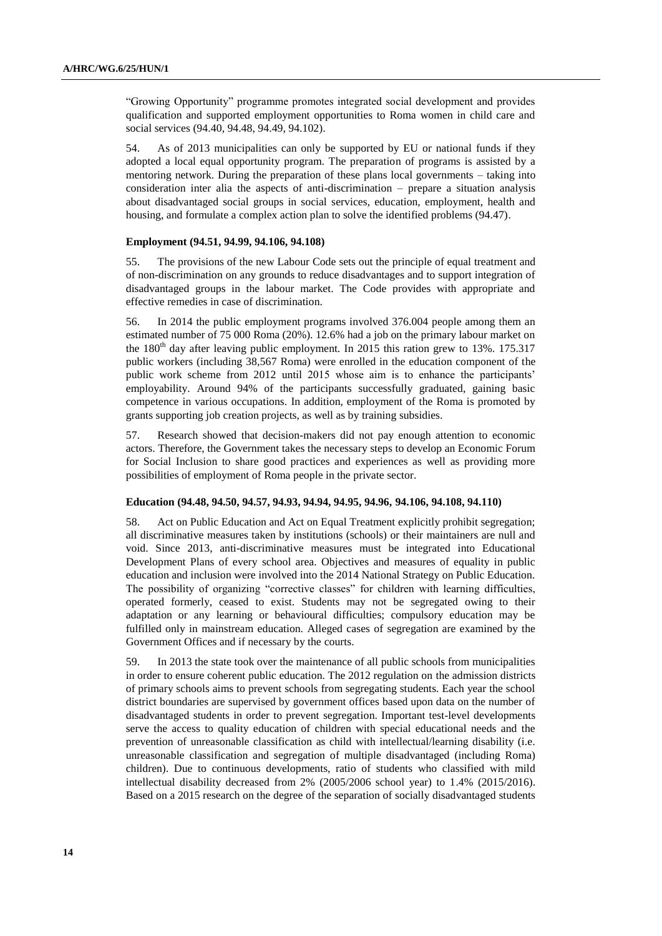"Growing Opportunity" programme promotes integrated social development and provides qualification and supported employment opportunities to Roma women in child care and social services (94.40, 94.48, 94.49, 94.102).

54. As of 2013 municipalities can only be supported by EU or national funds if they adopted a local equal opportunity program. The preparation of programs is assisted by a mentoring network. During the preparation of these plans local governments – taking into consideration inter alia the aspects of anti-discrimination – prepare a situation analysis about disadvantaged social groups in social services, education, employment, health and housing, and formulate a complex action plan to solve the identified problems (94.47).

#### **Employment (94.51, 94.99, 94.106, 94.108)**

55. The provisions of the new Labour Code sets out the principle of equal treatment and of non-discrimination on any grounds to reduce disadvantages and to support integration of disadvantaged groups in the labour market. The Code provides with appropriate and effective remedies in case of discrimination.

56. In 2014 the public employment programs involved 376.004 people among them an estimated number of 75 000 Roma (20%). 12.6% had a job on the primary labour market on the  $180<sup>th</sup>$  day after leaving public employment. In 2015 this ration grew to 13%. 175.317 public workers (including 38,567 Roma) were enrolled in the education component of the public work scheme from 2012 until 2015 whose aim is to enhance the participants' employability. Around 94% of the participants successfully graduated, gaining basic competence in various occupations. In addition, employment of the Roma is promoted by grants supporting job creation projects, as well as by training subsidies.

57. Research showed that decision-makers did not pay enough attention to economic actors. Therefore, the Government takes the necessary steps to develop an Economic Forum for Social Inclusion to share good practices and experiences as well as providing more possibilities of employment of Roma people in the private sector.

#### **Education (94.48, 94.50, 94.57, 94.93, 94.94, 94.95, 94.96, 94.106, 94.108, 94.110)**

58. Act on Public Education and Act on Equal Treatment explicitly prohibit segregation; all discriminative measures taken by institutions (schools) or their maintainers are null and void. Since 2013, anti-discriminative measures must be integrated into Educational Development Plans of every school area. Objectives and measures of equality in public education and inclusion were involved into the 2014 National Strategy on Public Education. The possibility of organizing "corrective classes" for children with learning difficulties, operated formerly, ceased to exist. Students may not be segregated owing to their adaptation or any learning or behavioural difficulties; compulsory education may be fulfilled only in mainstream education. Alleged cases of segregation are examined by the Government Offices and if necessary by the courts.

59. In 2013 the state took over the maintenance of all public schools from municipalities in order to ensure coherent public education. The 2012 regulation on the admission districts of primary schools aims to prevent schools from segregating students. Each year the school district boundaries are supervised by government offices based upon data on the number of disadvantaged students in order to prevent segregation. Important test-level developments serve the access to quality education of children with special educational needs and the prevention of unreasonable classification as child with intellectual/learning disability (i.e. unreasonable classification and segregation of multiple disadvantaged (including Roma) children). Due to continuous developments, ratio of students who classified with mild intellectual disability decreased from 2% (2005/2006 school year) to 1.4% (2015/2016). Based on a 2015 research on the degree of the separation of socially disadvantaged students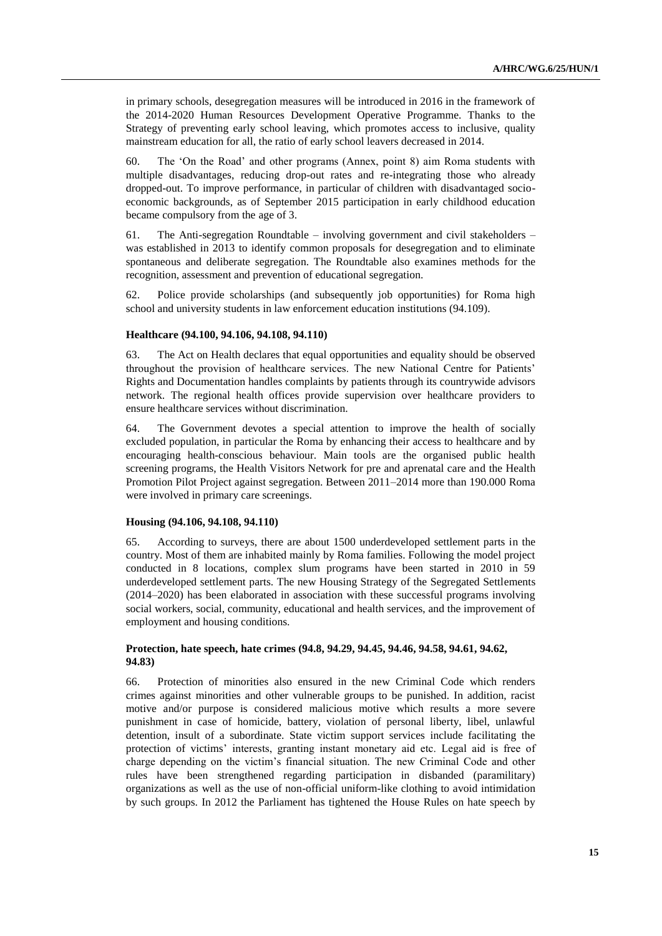in primary schools, desegregation measures will be introduced in 2016 in the framework of the 2014-2020 Human Resources Development Operative Programme. Thanks to the Strategy of preventing early school leaving, which promotes access to inclusive, quality mainstream education for all, the ratio of early school leavers decreased in 2014.

60. The 'On the Road' and other programs (Annex, point 8) aim Roma students with multiple disadvantages, reducing drop-out rates and re-integrating those who already dropped-out. To improve performance, in particular of children with disadvantaged socioeconomic backgrounds, as of September 2015 participation in early childhood education became compulsory from the age of 3.

61. The Anti-segregation Roundtable – involving government and civil stakeholders – was established in 2013 to identify common proposals for desegregation and to eliminate spontaneous and deliberate segregation. The Roundtable also examines methods for the recognition, assessment and prevention of educational segregation.

62. Police provide scholarships (and subsequently job opportunities) for Roma high school and university students in law enforcement education institutions (94.109).

#### **Healthcare (94.100, 94.106, 94.108, 94.110)**

63. The Act on Health declares that equal opportunities and equality should be observed throughout the provision of healthcare services. The new National Centre for Patients' Rights and Documentation handles complaints by patients through its countrywide advisors network. The regional health offices provide supervision over healthcare providers to ensure healthcare services without discrimination.

64. The Government devotes a special attention to improve the health of socially excluded population, in particular the Roma by enhancing their access to healthcare and by encouraging health-conscious behaviour. Main tools are the organised public health screening programs, the Health Visitors Network for pre and aprenatal care and the Health Promotion Pilot Project against segregation. Between 2011–2014 more than 190.000 Roma were involved in primary care screenings.

### **Housing (94.106, 94.108, 94.110)**

65. According to surveys, there are about 1500 underdeveloped settlement parts in the country. Most of them are inhabited mainly by Roma families. Following the model project conducted in 8 locations, complex slum programs have been started in 2010 in 59 underdeveloped settlement parts. The new Housing Strategy of the Segregated Settlements (2014–2020) has been elaborated in association with these successful programs involving social workers, social, community, educational and health services, and the improvement of employment and housing conditions.

#### **Protection, hate speech, hate crimes (94.8, 94.29, 94.45, 94.46, 94.58, 94.61, 94.62, 94.83)**

66. Protection of minorities also ensured in the new Criminal Code which renders crimes against minorities and other vulnerable groups to be punished. In addition, racist motive and/or purpose is considered malicious motive which results a more severe punishment in case of homicide, battery, violation of personal liberty, libel, unlawful detention, insult of a subordinate. State victim support services include facilitating the protection of victims' interests, granting instant monetary aid etc. Legal aid is free of charge depending on the victim's financial situation. The new Criminal Code and other rules have been strengthened regarding participation in disbanded (paramilitary) organizations as well as the use of non-official uniform-like clothing to avoid intimidation by such groups. In 2012 the Parliament has tightened the House Rules on hate speech by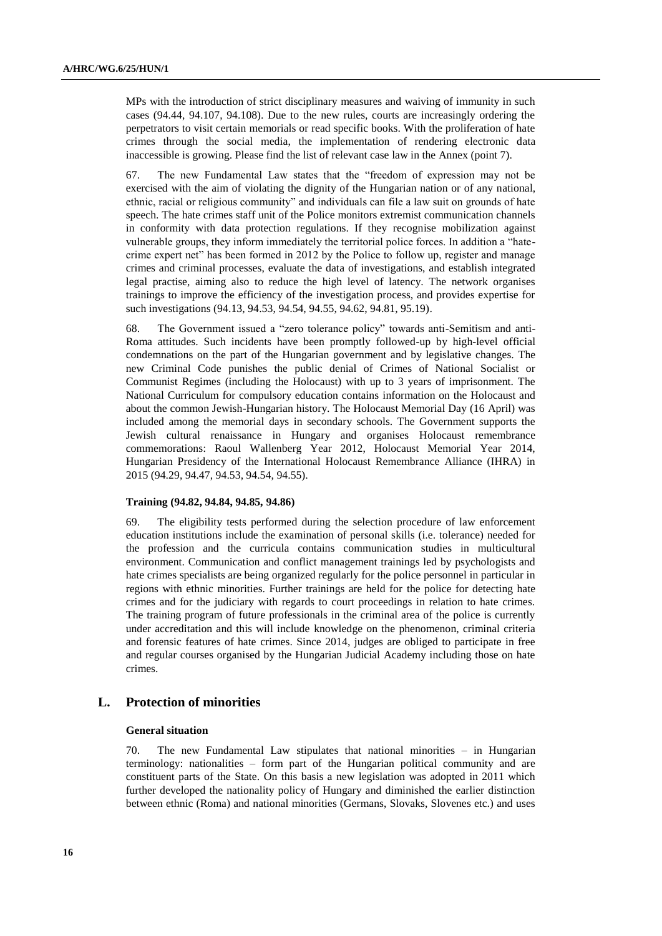MPs with the introduction of strict disciplinary measures and waiving of immunity in such cases (94.44, 94.107, 94.108). Due to the new rules, courts are increasingly ordering the perpetrators to visit certain memorials or read specific books. With the proliferation of hate crimes through the social media, the implementation of rendering electronic data inaccessible is growing. Please find the list of relevant case law in the Annex (point 7).

67. The new Fundamental Law states that the "freedom of expression may not be exercised with the aim of violating the dignity of the Hungarian nation or of any national, ethnic, racial or religious community" and individuals can file a law suit on grounds of hate speech. The hate crimes staff unit of the Police monitors extremist communication channels in conformity with data protection regulations. If they recognise mobilization against vulnerable groups, they inform immediately the territorial police forces. In addition a "hatecrime expert net" has been formed in 2012 by the Police to follow up, register and manage crimes and criminal processes, evaluate the data of investigations, and establish integrated legal practise, aiming also to reduce the high level of latency. The network organises trainings to improve the efficiency of the investigation process, and provides expertise for such investigations (94.13, 94.53, 94.54, 94.55, 94.62, 94.81, 95.19).

68. The Government issued a "zero tolerance policy" towards anti-Semitism and anti-Roma attitudes. Such incidents have been promptly followed-up by high-level official condemnations on the part of the Hungarian government and by legislative changes. The new Criminal Code punishes the public denial of Crimes of National Socialist or Communist Regimes (including the Holocaust) with up to 3 years of imprisonment. The National Curriculum for compulsory education contains information on the Holocaust and about the common Jewish-Hungarian history. The Holocaust Memorial Day (16 April) was included among the memorial days in secondary schools. The Government supports the Jewish cultural renaissance in Hungary and organises Holocaust remembrance commemorations: Raoul Wallenberg Year 2012, Holocaust Memorial Year 2014, Hungarian Presidency of the International Holocaust Remembrance Alliance (IHRA) in 2015 (94.29, 94.47, 94.53, 94.54, 94.55).

#### **Training (94.82, 94.84, 94.85, 94.86)**

69. The eligibility tests performed during the selection procedure of law enforcement education institutions include the examination of personal skills (i.e. tolerance) needed for the profession and the curricula contains communication studies in multicultural environment. Communication and conflict management trainings led by psychologists and hate crimes specialists are being organized regularly for the police personnel in particular in regions with ethnic minorities. Further trainings are held for the police for detecting hate crimes and for the judiciary with regards to court proceedings in relation to hate crimes. The training program of future professionals in the criminal area of the police is currently under accreditation and this will include knowledge on the phenomenon, criminal criteria and forensic features of hate crimes. Since 2014, judges are obliged to participate in free and regular courses organised by the Hungarian Judicial Academy including those on hate crimes.

### **L. Protection of minorities**

#### **General situation**

70. The new Fundamental Law stipulates that national minorities – in Hungarian terminology: nationalities – form part of the Hungarian political community and are constituent parts of the State. On this basis a new legislation was adopted in 2011 which further developed the nationality policy of Hungary and diminished the earlier distinction between ethnic (Roma) and national minorities (Germans, Slovaks, Slovenes etc.) and uses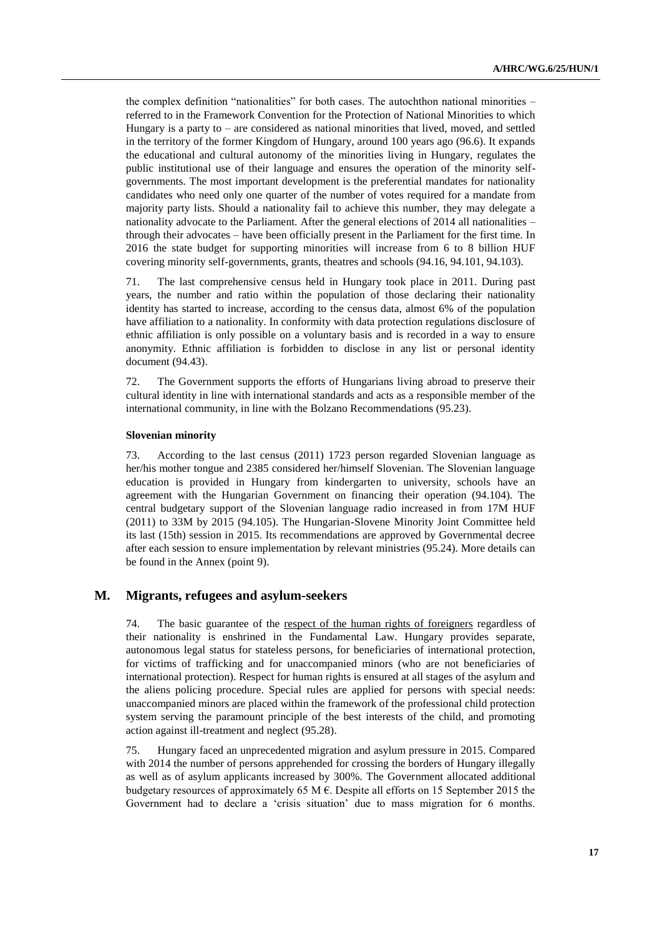the complex definition "nationalities" for both cases. The autochthon national minorities – referred to in the Framework Convention for the Protection of National Minorities to which Hungary is a party to – are considered as national minorities that lived, moved, and settled in the territory of the former Kingdom of Hungary, around 100 years ago (96.6). It expands the educational and cultural autonomy of the minorities living in Hungary, regulates the public institutional use of their language and ensures the operation of the minority selfgovernments. The most important development is the preferential mandates for nationality candidates who need only one quarter of the number of votes required for a mandate from majority party lists. Should a nationality fail to achieve this number, they may delegate a nationality advocate to the Parliament. After the general elections of 2014 all nationalities – through their advocates – have been officially present in the Parliament for the first time. In 2016 the state budget for supporting minorities will increase from 6 to 8 billion HUF covering minority self-governments, grants, theatres and schools (94.16, 94.101, 94.103).

71. The last comprehensive census held in Hungary took place in 2011. During past years, the number and ratio within the population of those declaring their nationality identity has started to increase, according to the census data, almost 6% of the population have affiliation to a nationality. In conformity with data protection regulations disclosure of ethnic affiliation is only possible on a voluntary basis and is recorded in a way to ensure anonymity. Ethnic affiliation is forbidden to disclose in any list or personal identity document (94.43).

72. The Government supports the efforts of Hungarians living abroad to preserve their cultural identity in line with international standards and acts as a responsible member of the international community, in line with the Bolzano Recommendations (95.23).

#### **Slovenian minority**

73. According to the last census (2011) 1723 person regarded Slovenian language as her/his mother tongue and 2385 considered her/himself Slovenian. The Slovenian language education is provided in Hungary from kindergarten to university, schools have an agreement with the Hungarian Government on financing their operation (94.104). The central budgetary support of the Slovenian language radio increased in from 17M HUF (2011) to 33M by 2015 (94.105). The Hungarian-Slovene Minority Joint Committee held its last (15th) session in 2015. Its recommendations are approved by Governmental decree after each session to ensure implementation by relevant ministries (95.24). More details can be found in the Annex (point 9).

#### **M. Migrants, refugees and asylum-seekers**

74. The basic guarantee of the respect of the human rights of foreigners regardless of their nationality is enshrined in the Fundamental Law. Hungary provides separate, autonomous legal status for stateless persons, for beneficiaries of international protection, for victims of trafficking and for unaccompanied minors (who are not beneficiaries of international protection). Respect for human rights is ensured at all stages of the asylum and the aliens policing procedure. Special rules are applied for persons with special needs: unaccompanied minors are placed within the framework of the professional child protection system serving the paramount principle of the best interests of the child, and promoting action against ill-treatment and neglect (95.28).

75. Hungary faced an unprecedented migration and asylum pressure in 2015. Compared with 2014 the number of persons apprehended for crossing the borders of Hungary illegally as well as of asylum applicants increased by 300%. The Government allocated additional budgetary resources of approximately 65 M  $\epsilon$ . Despite all efforts on 15 September 2015 the Government had to declare a 'crisis situation' due to mass migration for 6 months.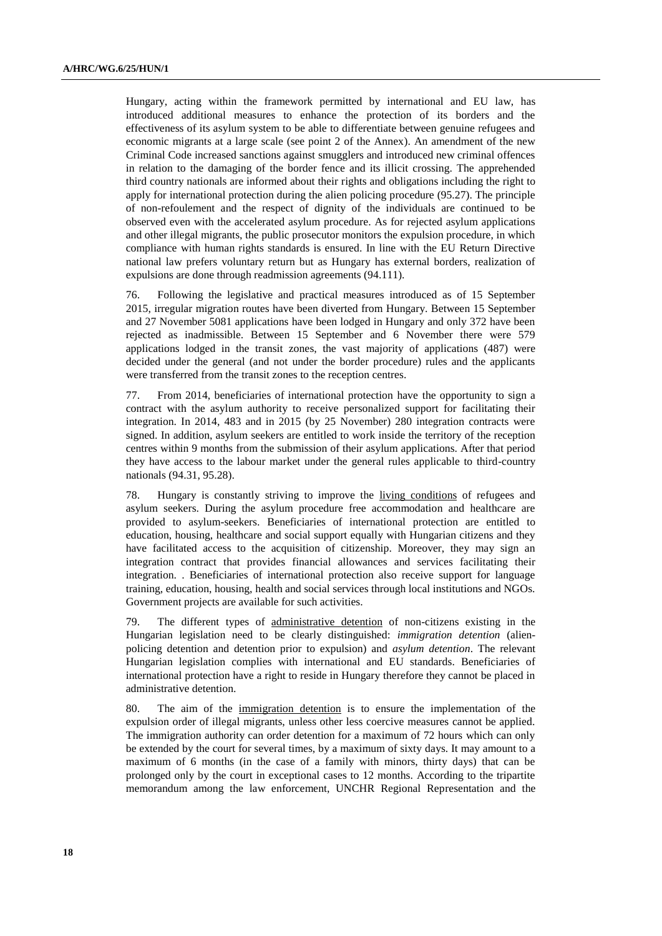Hungary, acting within the framework permitted by international and EU law, has introduced additional measures to enhance the protection of its borders and the effectiveness of its asylum system to be able to differentiate between genuine refugees and economic migrants at a large scale (see point 2 of the Annex). An amendment of the new Criminal Code increased sanctions against smugglers and introduced new criminal offences in relation to the damaging of the border fence and its illicit crossing. The apprehended third country nationals are informed about their rights and obligations including the right to apply for international protection during the alien policing procedure (95.27). The principle of non-refoulement and the respect of dignity of the individuals are continued to be observed even with the accelerated asylum procedure. As for rejected asylum applications and other illegal migrants, the public prosecutor monitors the expulsion procedure, in which compliance with human rights standards is ensured. In line with the EU Return Directive national law prefers voluntary return but as Hungary has external borders, realization of expulsions are done through readmission agreements (94.111).

76. Following the legislative and practical measures introduced as of 15 September 2015, irregular migration routes have been diverted from Hungary. Between 15 September and 27 November 5081 applications have been lodged in Hungary and only 372 have been rejected as inadmissible. Between 15 September and 6 November there were 579 applications lodged in the transit zones, the vast majority of applications (487) were decided under the general (and not under the border procedure) rules and the applicants were transferred from the transit zones to the reception centres.

77. From 2014, beneficiaries of international protection have the opportunity to sign a contract with the asylum authority to receive personalized support for facilitating their integration. In 2014, 483 and in 2015 (by 25 November) 280 integration contracts were signed. In addition, asylum seekers are entitled to work inside the territory of the reception centres within 9 months from the submission of their asylum applications. After that period they have access to the labour market under the general rules applicable to third-country nationals (94.31, 95.28).

78. Hungary is constantly striving to improve the living conditions of refugees and asylum seekers. During the asylum procedure free accommodation and healthcare are provided to asylum-seekers. Beneficiaries of international protection are entitled to education, housing, healthcare and social support equally with Hungarian citizens and they have facilitated access to the acquisition of citizenship. Moreover, they may sign an integration contract that provides financial allowances and services facilitating their integration. . Beneficiaries of international protection also receive support for language training, education, housing, health and social services through local institutions and NGOs. Government projects are available for such activities.

79. The different types of administrative detention of non-citizens existing in the Hungarian legislation need to be clearly distinguished: *immigration detention* (alienpolicing detention and detention prior to expulsion) and *asylum detention*. The relevant Hungarian legislation complies with international and EU standards. Beneficiaries of international protection have a right to reside in Hungary therefore they cannot be placed in administrative detention.

80. The aim of the immigration detention is to ensure the implementation of the expulsion order of illegal migrants, unless other less coercive measures cannot be applied. The immigration authority can order detention for a maximum of 72 hours which can only be extended by the court for several times, by a maximum of sixty days. It may amount to a maximum of 6 months (in the case of a family with minors, thirty days) that can be prolonged only by the court in exceptional cases to 12 months. According to the tripartite memorandum among the law enforcement, UNCHR Regional Representation and the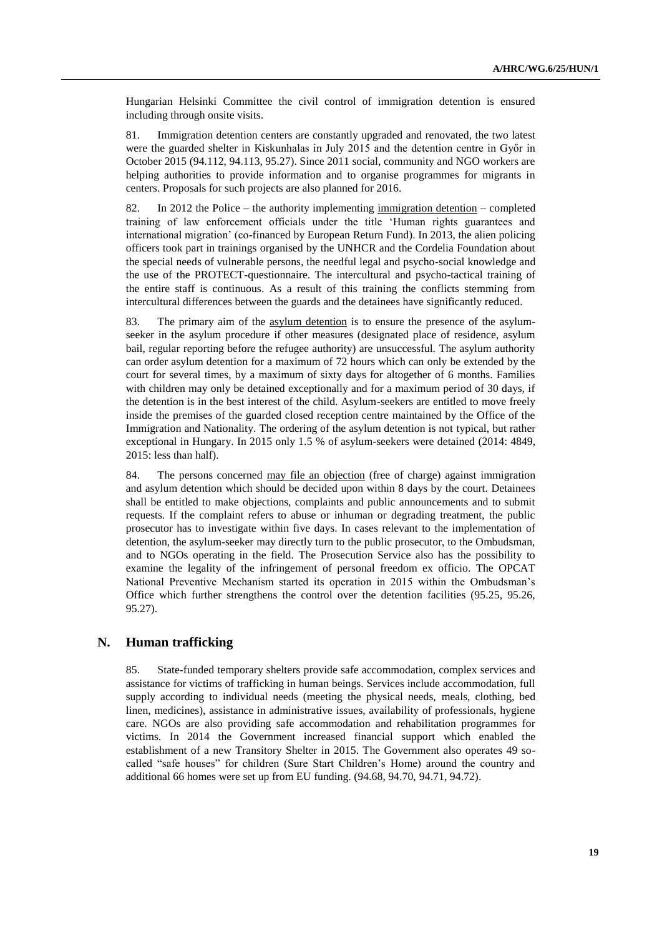Hungarian Helsinki Committee the civil control of immigration detention is ensured including through onsite visits.

81. Immigration detention centers are constantly upgraded and renovated, the two latest were the guarded shelter in Kiskunhalas in July 2015 and the detention centre in Győr in October 2015 (94.112, 94.113, 95.27). Since 2011 social, community and NGO workers are helping authorities to provide information and to organise programmes for migrants in centers. Proposals for such projects are also planned for 2016.

82. In 2012 the Police – the authority implementing immigration detention – completed training of law enforcement officials under the title 'Human rights guarantees and international migration' (co-financed by European Return Fund). In 2013, the alien policing officers took part in trainings organised by the UNHCR and the Cordelia Foundation about the special needs of vulnerable persons, the needful legal and psycho-social knowledge and the use of the PROTECT-questionnaire. The intercultural and psycho-tactical training of the entire staff is continuous. As a result of this training the conflicts stemming from intercultural differences between the guards and the detainees have significantly reduced.

83. The primary aim of the asylum detention is to ensure the presence of the asylumseeker in the asylum procedure if other measures (designated place of residence, asylum bail, regular reporting before the refugee authority) are unsuccessful. The asylum authority can order asylum detention for a maximum of 72 hours which can only be extended by the court for several times, by a maximum of sixty days for altogether of 6 months. Families with children may only be detained exceptionally and for a maximum period of 30 days, if the detention is in the best interest of the child. Asylum-seekers are entitled to move freely inside the premises of the guarded closed reception centre maintained by the Office of the Immigration and Nationality. The ordering of the asylum detention is not typical, but rather exceptional in Hungary. In 2015 only 1.5 % of asylum-seekers were detained (2014: 4849, 2015: less than half).

84. The persons concerned may file an objection (free of charge) against immigration and asylum detention which should be decided upon within 8 days by the court. Detainees shall be entitled to make objections, complaints and public announcements and to submit requests. If the complaint refers to abuse or inhuman or degrading treatment, the public prosecutor has to investigate within five days. In cases relevant to the implementation of detention, the asylum-seeker may directly turn to the public prosecutor, to the Ombudsman, and to NGOs operating in the field. The Prosecution Service also has the possibility to examine the legality of the infringement of personal freedom ex officio. The OPCAT National Preventive Mechanism started its operation in 2015 within the Ombudsman's Office which further strengthens the control over the detention facilities (95.25, 95.26, 95.27).

## **N. Human trafficking**

85. State-funded temporary shelters provide safe accommodation, complex services and assistance for victims of trafficking in human beings. Services include accommodation, full supply according to individual needs (meeting the physical needs, meals, clothing, bed linen, medicines), assistance in administrative issues, availability of professionals, hygiene care. NGOs are also providing safe accommodation and rehabilitation programmes for victims. In 2014 the Government increased financial support which enabled the establishment of a new Transitory Shelter in 2015. The Government also operates 49 socalled "safe houses" for children (Sure Start Children's Home) around the country and additional 66 homes were set up from EU funding. (94.68, 94.70, 94.71, 94.72).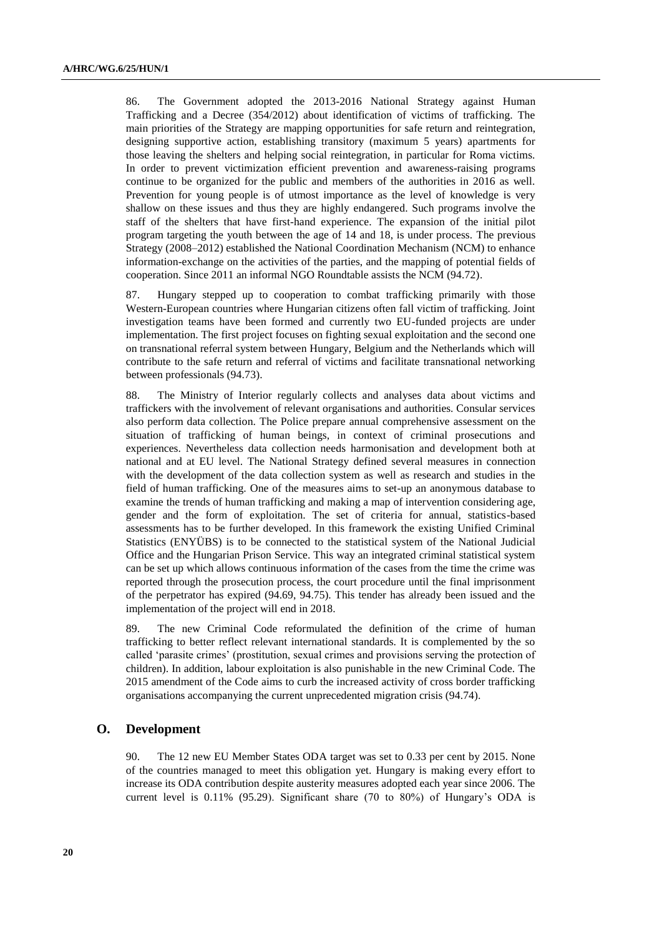86. The Government adopted the 2013-2016 National Strategy against Human Trafficking and a Decree (354/2012) about identification of victims of trafficking. The main priorities of the Strategy are mapping opportunities for safe return and reintegration, designing supportive action, establishing transitory (maximum 5 years) apartments for those leaving the shelters and helping social reintegration, in particular for Roma victims. In order to prevent victimization efficient prevention and awareness-raising programs continue to be organized for the public and members of the authorities in 2016 as well. Prevention for young people is of utmost importance as the level of knowledge is very shallow on these issues and thus they are highly endangered. Such programs involve the staff of the shelters that have first-hand experience. The expansion of the initial pilot program targeting the youth between the age of 14 and 18, is under process. The previous Strategy (2008–2012) established the National Coordination Mechanism (NCM) to enhance information-exchange on the activities of the parties, and the mapping of potential fields of cooperation. Since 2011 an informal NGO Roundtable assists the NCM (94.72).

87. Hungary stepped up to cooperation to combat trafficking primarily with those Western-European countries where Hungarian citizens often fall victim of trafficking. Joint investigation teams have been formed and currently two EU-funded projects are under implementation. The first project focuses on fighting sexual exploitation and the second one on transnational referral system between Hungary, Belgium and the Netherlands which will contribute to the safe return and referral of victims and facilitate transnational networking between professionals (94.73).

88. The Ministry of Interior regularly collects and analyses data about victims and traffickers with the involvement of relevant organisations and authorities. Consular services also perform data collection. The Police prepare annual comprehensive assessment on the situation of trafficking of human beings, in context of criminal prosecutions and experiences. Nevertheless data collection needs harmonisation and development both at national and at EU level. The National Strategy defined several measures in connection with the development of the data collection system as well as research and studies in the field of human trafficking. One of the measures aims to set-up an anonymous database to examine the trends of human trafficking and making a map of intervention considering age, gender and the form of exploitation. The set of criteria for annual, statistics-based assessments has to be further developed. In this framework the existing Unified Criminal Statistics (ENYÜBS) is to be connected to the statistical system of the National Judicial Office and the Hungarian Prison Service. This way an integrated criminal statistical system can be set up which allows continuous information of the cases from the time the crime was reported through the prosecution process, the court procedure until the final imprisonment of the perpetrator has expired (94.69, 94.75). This tender has already been issued and the implementation of the project will end in 2018.

89. The new Criminal Code reformulated the definition of the crime of human trafficking to better reflect relevant international standards. It is complemented by the so called 'parasite crimes' (prostitution, sexual crimes and provisions serving the protection of children). In addition, labour exploitation is also punishable in the new Criminal Code. The 2015 amendment of the Code aims to curb the increased activity of cross border trafficking organisations accompanying the current unprecedented migration crisis (94.74).

### **O. Development**

90. The 12 new EU Member States ODA target was set to 0.33 per cent by 2015. None of the countries managed to meet this obligation yet. Hungary is making every effort to increase its ODA contribution despite austerity measures adopted each year since 2006. The current level is 0.11% (95.29). Significant share (70 to 80%) of Hungary's ODA is